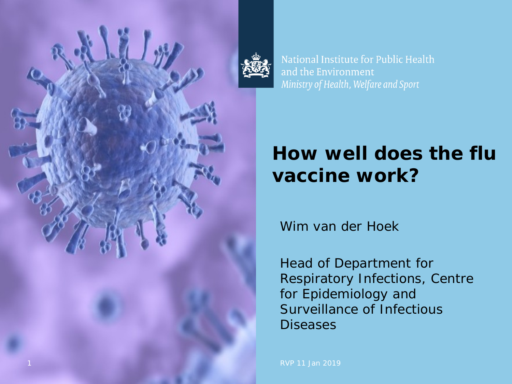

National Institute for Public Health and the Environment Ministry of Health, Welfare and Sport

# **How well does the flu vaccine work?**

Wim van der Hoek

Head of Department for Respiratory Infections, Centre for Epidemiology and Surveillance of Infectious **Diseases**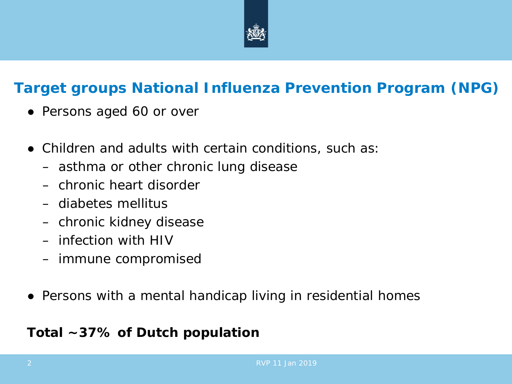

### **Target groups National Influenza Prevention Program (NPG)**

- Persons aged 60 or over
- Children and adults with certain conditions, such as:
	- asthma or other chronic lung disease
	- chronic heart disorder
	- diabetes mellitus
	- chronic kidney disease
	- infection with HIV
	- immune compromised
- Persons with a mental handicap living in residential homes

### *Total ~37% of Dutch population*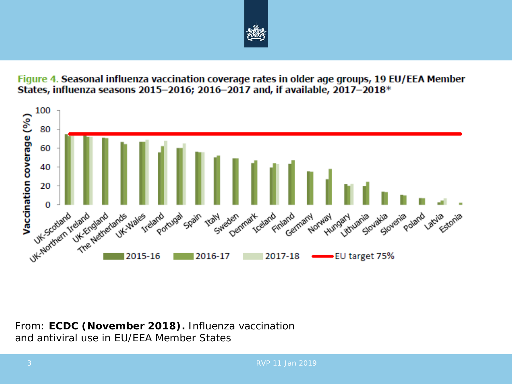

Figure 4. Seasonal influenza vaccination coverage rates in older age groups, 19 EU/EEA Member States, influenza seasons 2015-2016; 2016-2017 and, if available, 2017-2018\*



*From: ECDC (November 2018). Influenza vaccination and antiviral use in EU/EEA Member States*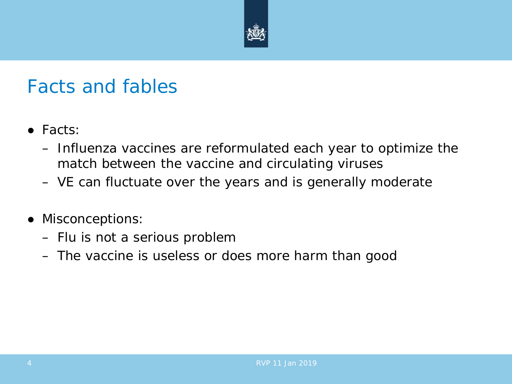

### Facts and fables

- Facts:
	- Influenza vaccines are reformulated each year to optimize the match between the vaccine and circulating viruses
	- VE can fluctuate over the years and is generally moderate
- Misconceptions:
	- Flu is not a serious problem
	- The vaccine is useless or does more harm than good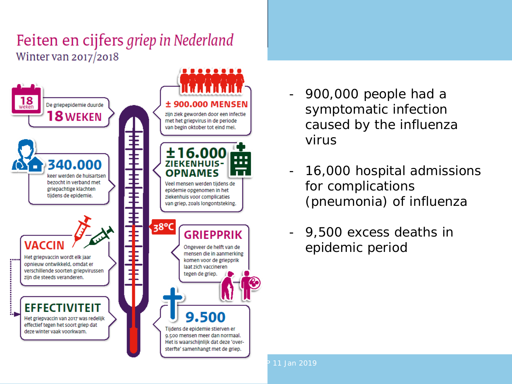### Feiten en cijfers griep in Nederland Winter van 2017/2018



- 900,000 people had a symptomatic infection caused by the influenza virus
- 16,000 hospital admissions for complications (pneumonia) of influenza
- 9,500 excess deaths in epidemic period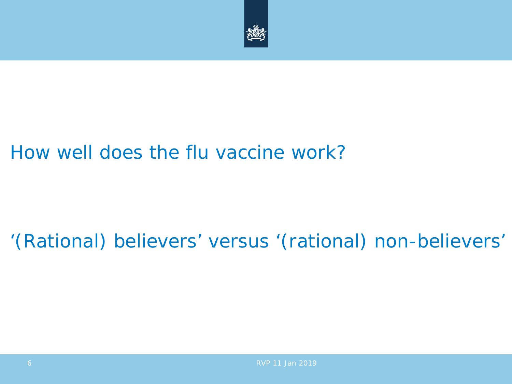

## How well does the flu vaccine work?

## '(Rational) believers' versus '(rational) non-believers'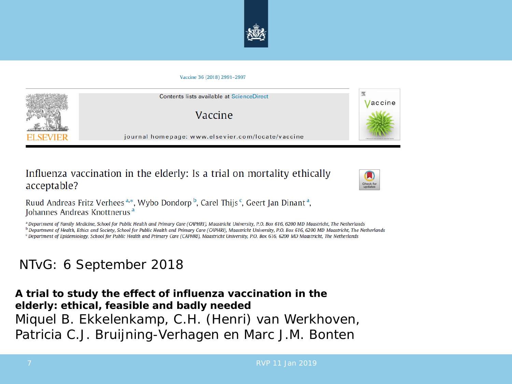

#### Vaccine 36 (2018) 2991-2997



Influenza vaccination in the elderly: Is a trial on mortality ethically acceptable?



Ruud Andreas Fritz Verhees<sup>a,\*</sup>, Wybo Dondorp<sup>b</sup>, Carel Thijs<sup>c</sup>, Geert Jan Dinant<sup>a</sup>, Johannes Andreas Knottnerus<sup>a</sup>

a Department of Family Medicine, School for Public Health and Primary Care (CAPHRI), Maastricht University, P.O. Box 616, 6200 MD Maastricht, The Netherlands <sup>b</sup> Department of Health, Ethics and Society, School for Public Health and Primary Care (CAPHRI), Maastricht University, P.O. Box 616, 6200 MD Maastricht, The Netherlands

<sup>c</sup> Department of Epidemiology, School for Public Health and Primary Care (CAPHRI), Maastricht University, P.O. Box 616, 6200 MD Maastricht, The Netherlands

### NTvG: 6 September 2018

**A trial to study the effect of influenza vaccination in the elderly: ethical, feasible and badly needed** Miquel B. Ekkelenkamp, C.H. (Henri) van Werkhoven, Patricia C.J. Bruijning-Verhagen en Marc J.M. Bonten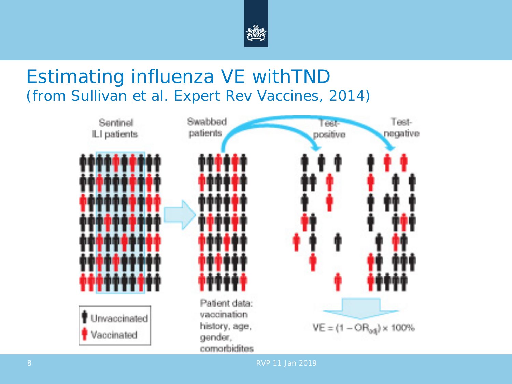

### Estimating influenza VE withTND (from Sullivan et al. Expert Rev Vaccines, 2014)

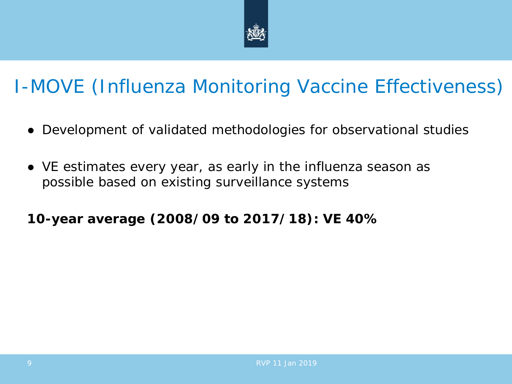

# I-MOVE (Influenza Monitoring Vaccine Effectiveness)

- Development of validated methodologies for observational studies
- VE estimates every year, as early in the influenza season as possible based on existing surveillance systems

**10-year average (2008/09 to 2017/18): VE 40%**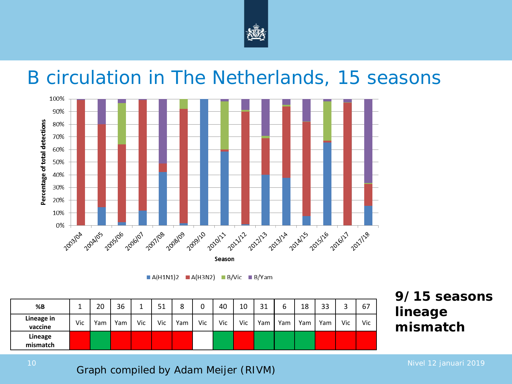

### B circulation in The Netherlands, 15 seasons



 $A(H1N1)2$   $A(H3N2)$   $B/Vic$   $B/Yam$ 

| %B                         |     | 20  | 36  |     | ــ ب | ٥   |     | 40  | 10  | 31  | b   | 18  | 33  | ◠   | 67  |
|----------------------------|-----|-----|-----|-----|------|-----|-----|-----|-----|-----|-----|-----|-----|-----|-----|
| Lineage in<br>vaccine      | Vic | Yam | Yam | Vic | Vic  | Yam | Vic | Vic | Vic | Yam | Yam | Yam | Yam | Vic | Vic |
| <b>Lineage</b><br>mismatch |     |     |     |     |      |     |     |     |     |     |     |     |     |     |     |

**9/15 seasons lineage mismatch**

10 Nivel 12 januari 2019<br>**Graph compiled by Adam Meijer (RIVM)** And the setting of the setting of the setting of the setting of the setti